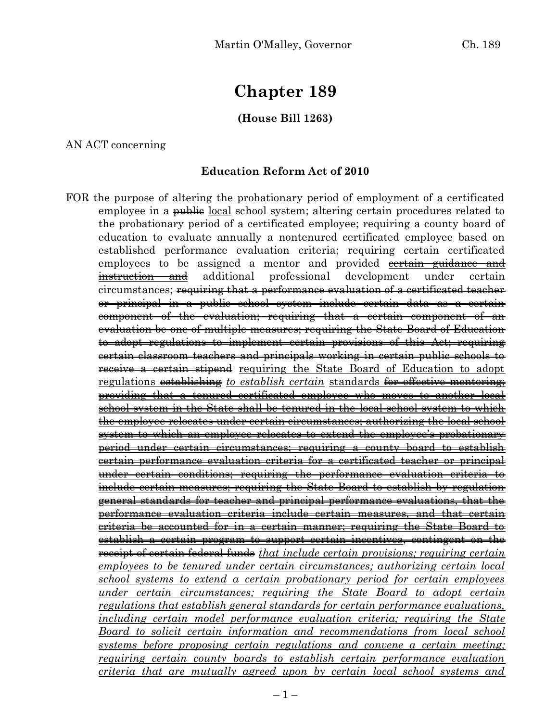# **Chapter 189**

## **(House Bill 1263)**

AN ACT concerning

## **Education Reform Act of 2010**

FOR the purpose of altering the probationary period of employment of a certificated employee in a <del>public</del> local school system; altering certain procedures related to the probationary period of a certificated employee; requiring a county board of education to evaluate annually a nontenured certificated employee based on established performance evaluation criteria; requiring certain certificated employees to be assigned a mentor and provided contain guidance and instruction and additional professional development under certain circumstances; requiring that a performance evaluation of a certificated teacher or principal in a public school system include certain data as a certain component of the evaluation; requiring that a certain component of an evaluation be one of multiple measures; requiring the State Board of Education to adopt regulations to implement certain provisions of this Act; requiring certain classroom teachers and principals working in certain public schools to **receive a certain stipend** requiring the State Board of Education to adopt regulations establishing *to establish certain* standards for effective mentoring; providing that a tenured certificated employee who moves to another local school system in the State shall be tenured in the local school system to which the employee relocates under certain circumstances; authorizing the local school system to which an employee relocates to extend the employee's probationary period under certain circumstances; requiring a county board to establish certain performance evaluation criteria for a certificated teacher or principal under certain conditions; requiring the performance evaluation criteria include certain measures; requiring the State Board to establish by regulation general standards for teacher and principal performance evaluations, that the performance evaluation criteria include certain measures, and that certain criteria be accounted for in a certain manner; requiring the State Board to establish a certain program to support certain incentives, contingent on the receipt of certain federal funds *that include certain provisions; requiring certain employees to be tenured under certain circumstances; authorizing certain local school systems to extend a certain probationary period for certain employees under certain circumstances; requiring the State Board to adopt certain regulations that establish general standards for certain performance evaluations, including certain model performance evaluation criteria; requiring the State Board to solicit certain information and recommendations from local school systems before proposing certain regulations and convene a certain meeting; requiring certain county boards to establish certain performance evaluation criteria that are mutually agreed upon by certain local school systems and*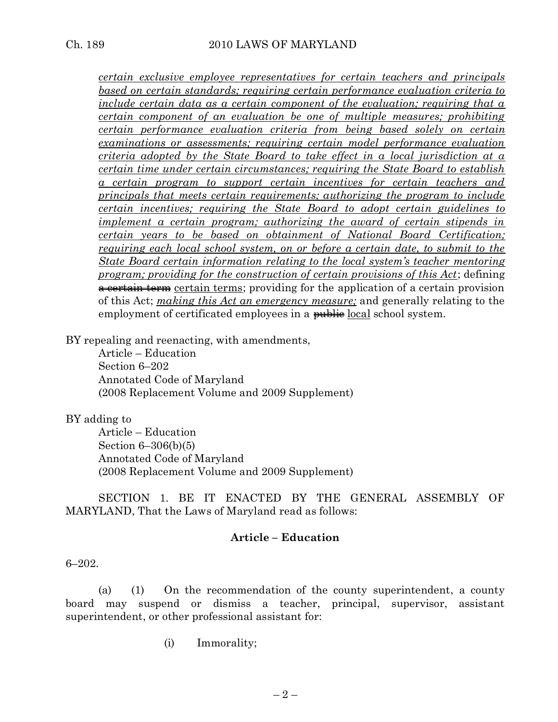*certain exclusive employee representatives for certain teachers and principals based on certain standards; requiring certain performance evaluation criteria to include certain data as a certain component of the evaluation; requiring that a certain component of an evaluation be one of multiple measures; prohibiting certain performance evaluation criteria from being based solely on certain examinations or assessments; requiring certain model performance evaluation criteria adopted by the State Board to take effect in a local jurisdiction at a certain time under certain circumstances; requiring the State Board to establish a certain program to support certain incentives for certain teachers and principals that meets certain requirements; authorizing the program to include certain incentives; requiring the State Board to adopt certain guidelines to implement a certain program; authorizing the award of certain stipends in certain years to be based on obtainment of National Board Certification; requiring each local school system, on or before a certain date, to submit to the State Board certain information relating to the local system's teacher mentoring program; providing for the construction of certain provisions of this Act*; defining a certain term certain terms; providing for the application of a certain provision of this Act; *making this Act an emergency measure;* and generally relating to the employment of certificated employees in a public local school system.

BY repealing and reenacting, with amendments,

Article – Education Section 6–202 Annotated Code of Maryland (2008 Replacement Volume and 2009 Supplement)

#### BY adding to

Article – Education Section 6–306(b)(5) Annotated Code of Maryland (2008 Replacement Volume and 2009 Supplement)

SECTION 1. BE IT ENACTED BY THE GENERAL ASSEMBLY OF MARYLAND, That the Laws of Maryland read as follows:

### **Article – Education**

#### 6–202.

(a) (1) On the recommendation of the county superintendent, a county board may suspend or dismiss a teacher, principal, supervisor, assistant superintendent, or other professional assistant for:

(i) Immorality;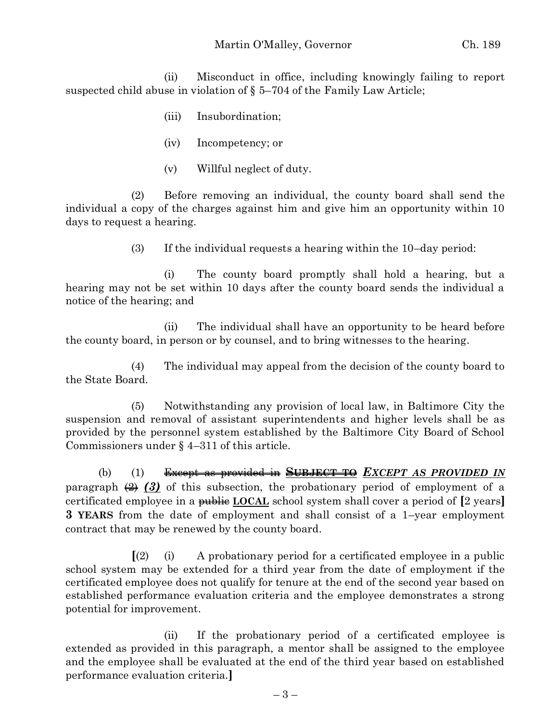(ii) Misconduct in office, including knowingly failing to report suspected child abuse in violation of § 5–704 of the Family Law Article;

- (iii) Insubordination;
- (iv) Incompetency; or
- (v) Willful neglect of duty.

(2) Before removing an individual, the county board shall send the individual a copy of the charges against him and give him an opportunity within 10 days to request a hearing.

(3) If the individual requests a hearing within the 10–day period:

(i) The county board promptly shall hold a hearing, but a hearing may not be set within 10 days after the county board sends the individual a notice of the hearing; and

(ii) The individual shall have an opportunity to be heard before the county board, in person or by counsel, and to bring witnesses to the hearing.

(4) The individual may appeal from the decision of the county board to the State Board.

(5) Notwithstanding any provision of local law, in Baltimore City the suspension and removal of assistant superintendents and higher levels shall be as provided by the personnel system established by the Baltimore City Board of School Commissioners under § 4–311 of this article.

(b) (1) Except as provided in **SUBJECT TO** *EXCEPT AS PROVIDED IN* paragraph  $\left(\frac{2}{3}\right)$  of this subsection, the probationary period of employment of a certificated employee in a public **LOCAL** school system shall cover a period of **[**2 years**] 3 YEARS** from the date of employment and shall consist of a 1–year employment contract that may be renewed by the county board.

**[**(2) (i) A probationary period for a certificated employee in a public school system may be extended for a third year from the date of employment if the certificated employee does not qualify for tenure at the end of the second year based on established performance evaluation criteria and the employee demonstrates a strong potential for improvement.

(ii) If the probationary period of a certificated employee is extended as provided in this paragraph, a mentor shall be assigned to the employee and the employee shall be evaluated at the end of the third year based on established performance evaluation criteria.**]**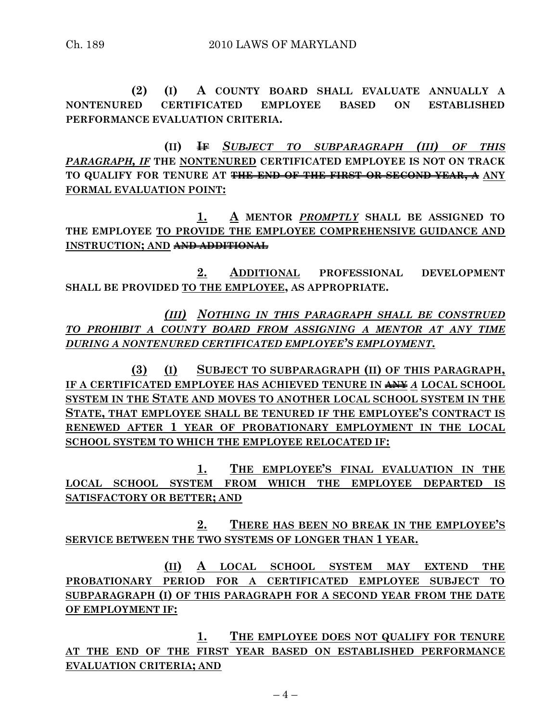**(2) (I) A COUNTY BOARD SHALL EVALUATE ANNUALLY A NONTENURED CERTIFICATED EMPLOYEE BASED ON ESTABLISHED PERFORMANCE EVALUATION CRITERIA.**

**(II) IF** *SUBJECT TO SUBPARAGRAPH (III) OF THIS PARAGRAPH, IF* **THE NONTENURED CERTIFICATED EMPLOYEE IS NOT ON TRACK TO QUALIFY FOR TENURE AT THE END OF THE FIRST OR SECOND YEAR, A ANY FORMAL EVALUATION POINT:**

**1. A MENTOR** *PROMPTLY* **SHALL BE ASSIGNED TO THE EMPLOYEE TO PROVIDE THE EMPLOYEE COMPREHENSIVE GUIDANCE AND INSTRUCTION; AND AND ADDITIONAL**

**2. ADDITIONAL PROFESSIONAL DEVELOPMENT SHALL BE PROVIDED TO THE EMPLOYEE, AS APPROPRIATE.**

*(III) NOTHING IN THIS PARAGRAPH SHALL BE CONSTRUED TO PROHIBIT A COUNTY BOARD FROM ASSIGNING A MENTOR AT ANY TIME DURING A NONTENURED CERTIFICATED EMPLOYEE'S EMPLOYMENT.*

**(3) (I) SUBJECT TO SUBPARAGRAPH (II) OF THIS PARAGRAPH, IF A CERTIFICATED EMPLOYEE HAS ACHIEVED TENURE IN ANY** *A* **LOCAL SCHOOL SYSTEM IN THE STATE AND MOVES TO ANOTHER LOCAL SCHOOL SYSTEM IN THE STATE, THAT EMPLOYEE SHALL BE TENURED IF THE EMPLOYEE'S CONTRACT IS RENEWED AFTER 1 YEAR OF PROBATIONARY EMPLOYMENT IN THE LOCAL SCHOOL SYSTEM TO WHICH THE EMPLOYEE RELOCATED IF:**

**1. THE EMPLOYEE'S FINAL EVALUATION IN THE LOCAL SCHOOL SYSTEM FROM WHICH THE EMPLOYEE DEPARTED IS SATISFACTORY OR BETTER; AND**

**2. THERE HAS BEEN NO BREAK IN THE EMPLOYEE'S SERVICE BETWEEN THE TWO SYSTEMS OF LONGER THAN 1 YEAR.**

**(II) A LOCAL SCHOOL SYSTEM MAY EXTEND THE PROBATIONARY PERIOD FOR A CERTIFICATED EMPLOYEE SUBJECT TO SUBPARAGRAPH (I) OF THIS PARAGRAPH FOR A SECOND YEAR FROM THE DATE OF EMPLOYMENT IF:**

**1. THE EMPLOYEE DOES NOT QUALIFY FOR TENURE AT THE END OF THE FIRST YEAR BASED ON ESTABLISHED PERFORMANCE EVALUATION CRITERIA; AND**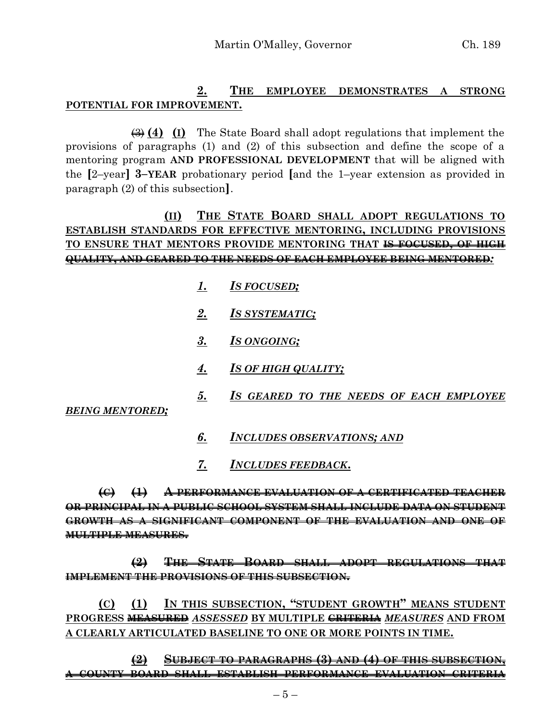## **2. THE EMPLOYEE DEMONSTRATES A STRONG POTENTIAL FOR IMPROVEMENT.**

(3) **(4) (I)** The State Board shall adopt regulations that implement the provisions of paragraphs (1) and (2) of this subsection and define the scope of a mentoring program **AND PROFESSIONAL DEVELOPMENT** that will be aligned with the **[**2–year**] 3–YEAR** probationary period **[**and the 1–year extension as provided in paragraph (2) of this subsection**]**.

# **(II) THE STATE BOARD SHALL ADOPT REGULATIONS TO ESTABLISH STANDARDS FOR EFFECTIVE MENTORING, INCLUDING PROVISIONS TO ENSURE THAT MENTORS PROVIDE MENTORING THAT IS FOCUSED, OF HIGH QUALITY, AND GEARED TO THE NEEDS OF EACH EMPLOYEE BEING MENTORED***:*

- *1. IS FOCUSED;*
- *2. IS SYSTEMATIC;*
- *3. IS ONGOING;*
- *4. IS OF HIGH QUALITY;*
- *5. IS GEARED TO THE NEEDS OF EACH EMPLOYEE*

*BEING MENTORED;*

- *6. INCLUDES OBSERVATIONS; AND*
- *7. INCLUDES FEEDBACK***.**

**(C) (1) A PERFORMANCE EVALUATION OF A CERTIFICATED TEACHER OR PRINCIPAL IN A PUBLIC SCHOOL SYSTEM SHALL INCLUDE DATA ON STUDENT GROWTH AS A SIGNIFICANT COMPONENT OF THE EVALUATION AND ONE OF MULTIPLE MEASURES.**

**(2) THE STATE BOARD SHALL ADOPT REGULATIONS THAT IMPLEMENT THE PROVISIONS OF THIS SUBSECTION.**

**(C) (1) IN THIS SUBSECTION, "STUDENT GROWTH" MEANS STUDENT PROGRESS MEASURED** *ASSESSED* **BY MULTIPLE CRITERIA** *MEASURES* **AND FROM A CLEARLY ARTICULATED BASELINE TO ONE OR MORE POINTS IN TIME.**

**(2) SUBJECT TO PARAGRAPHS (3) AND (4) OF THIS SUBSECTION, A COUNTY BOARD SHALL ESTABLISH PERFORMANCE EVALUATION CRITERIA**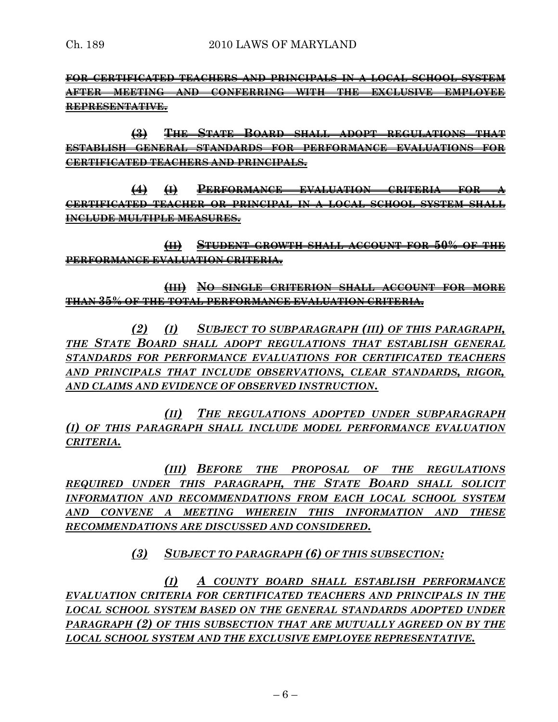**FOR CERTIFICATED TEACHERS AND PRINCIPALS IN A LOCAL SCHOOL SYSTEM AFTER MEETING AND CONFERRING WITH THE EXCLUSIVE EMPLOYEE REPRESENTATIVE.**

**(3) THE STATE BOARD SHALL ADOPT REGULATIONS THAT ESTABLISH GENERAL STANDARDS FOR PERFORMANCE EVALUATIONS FOR CERTIFICATED TEACHERS AND PRINCIPALS.**

**(4) (I) PERFORMANCE EVALUATION CRITERIA FOR A CERTIFICATED TEACHER OR PRINCIPAL IN A LOCAL SCHOOL SYSTEM SHALL INCLUDE MULTIPLE MEASURES.**

**(II) STUDENT GROWTH SHALL ACCOUNT FOR 50% OF THE PERFORMANCE EVALUATION CRITERIA.**

**(III) NO SINGLE CRITERION SHALL ACCOUNT FOR MORE THAN 35% OF THE TOTAL PERFORMANCE EVALUATION CRITERIA.**

*(2) (I) SUBJECT TO SUBPARAGRAPH (III) OF THIS PARAGRAPH, THE STATE BOARD SHALL ADOPT REGULATIONS THAT ESTABLISH GENERAL STANDARDS FOR PERFORMANCE EVALUATIONS FOR CERTIFICATED TEACHERS AND PRINCIPALS THAT INCLUDE OBSERVATIONS, CLEAR STANDARDS, RIGOR, AND CLAIMS AND EVIDENCE OF OBSERVED INSTRUCTION.*

*(II) THE REGULATIONS ADOPTED UNDER SUBPARAGRAPH (I) OF THIS PARAGRAPH SHALL INCLUDE MODEL PERFORMANCE EVALUATION CRITERIA.*

*(III) BEFORE THE PROPOSAL OF THE REGULATIONS REQUIRED UNDER THIS PARAGRAPH, THE STATE BOARD SHALL SOLICIT INFORMATION AND RECOMMENDATIONS FROM EACH LOCAL SCHOOL SYSTEM AND CONVENE A MEETING WHEREIN THIS INFORMATION AND THESE RECOMMENDATIONS ARE DISCUSSED AND CONSIDERED.*

*(3) SUBJECT TO PARAGRAPH (6) OF THIS SUBSECTION:*

*(I) A COUNTY BOARD SHALL ESTABLISH PERFORMANCE EVALUATION CRITERIA FOR CERTIFICATED TEACHERS AND PRINCIPALS IN THE LOCAL SCHOOL SYSTEM BASED ON THE GENERAL STANDARDS ADOPTED UNDER PARAGRAPH (2) OF THIS SUBSECTION THAT ARE MUTUALLY AGREED ON BY THE LOCAL SCHOOL SYSTEM AND THE EXCLUSIVE EMPLOYEE REPRESENTATIVE.*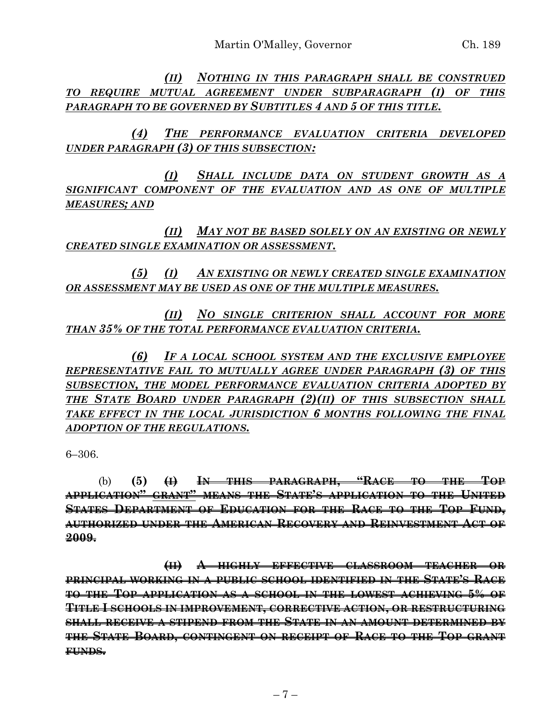*(II) NOTHING IN THIS PARAGRAPH SHALL BE CONSTRUED TO REQUIRE MUTUAL AGREEMENT UNDER SUBPARAGRAPH (I) OF THIS PARAGRAPH TO BE GOVERNED BY SUBTITLES 4 AND 5 OF THIS TITLE.*

*(4) THE PERFORMANCE EVALUATION CRITERIA DEVELOPED UNDER PARAGRAPH (3) OF THIS SUBSECTION:*

*(I) SHALL INCLUDE DATA ON STUDENT GROWTH AS A SIGNIFICANT COMPONENT OF THE EVALUATION AND AS ONE OF MULTIPLE MEASURES; AND*

*(II) MAY NOT BE BASED SOLELY ON AN EXISTING OR NEWLY CREATED SINGLE EXAMINATION OR ASSESSMENT.*

*(5) (I) AN EXISTING OR NEWLY CREATED SINGLE EXAMINATION OR ASSESSMENT MAY BE USED AS ONE OF THE MULTIPLE MEASURES.*

*(II) NO SINGLE CRITERION SHALL ACCOUNT FOR MORE THAN 35% OF THE TOTAL PERFORMANCE EVALUATION CRITERIA.*

*(6) IF A LOCAL SCHOOL SYSTEM AND THE EXCLUSIVE EMPLOYEE REPRESENTATIVE FAIL TO MUTUALLY AGREE UNDER PARAGRAPH (3) OF THIS SUBSECTION, THE MODEL PERFORMANCE EVALUATION CRITERIA ADOPTED BY THE STATE BOARD UNDER PARAGRAPH (2)(II) OF THIS SUBSECTION SHALL TAKE EFFECT IN THE LOCAL JURISDICTION 6 MONTHS FOLLOWING THE FINAL ADOPTION OF THE REGULATIONS.*

6–306.

(b) **(5) (I) IN THIS PARAGRAPH, "RACE TO THE TOP APPLICATION" GRANT" MEANS THE STATE'S APPLICATION TO THE UNITED STATES DEPARTMENT OF EDUCATION FOR THE RACE TO THE TOP FUND, AUTHORIZED UNDER THE AMERICAN RECOVERY AND REINVESTMENT ACT OF 2009.**

**(II) A HIGHLY EFFECTIVE CLASSROOM TEACHER OR PRINCIPAL WORKING IN A PUBLIC SCHOOL IDENTIFIED IN THE STATE'S RACE TO THE TOP APPLICATION AS A SCHOOL IN THE LOWEST ACHIEVING 5% OF TITLE I SCHOOLS IN IMPROVEMENT, CORRECTIVE ACTION, OR RESTRUCTURING SHALL RECEIVE A STIPEND FROM THE STATE IN AN AMOUNT DETERMINED BY THE STATE BOARD, CONTINGENT ON RECEIPT OF RACE TO THE TOP GRANT FUNDS.**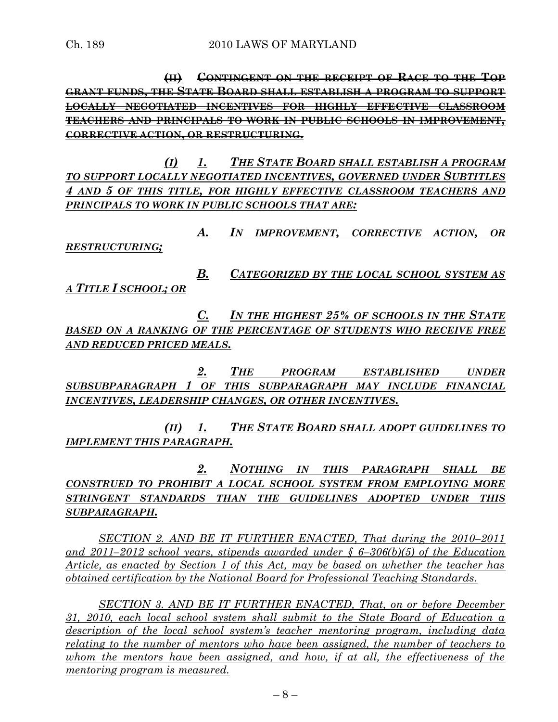**(II) CONTINGENT ON THE RECEIPT OF RACE TO THE TOP GRANT FUNDS, THE STATE BOARD SHALL ESTABLISH A PROGRAM TO SUPPORT LOCALLY NEGOTIATED INCENTIVES FOR HIGHLY EFFECTIVE CLASSROOM TEACHERS AND PRINCIPALS TO WORK IN PUBLIC SCHOOLS IN IMPROVEMENT, CORRECTIVE ACTION, OR RESTRUCTURING.**

*(I) 1. THE STATE BOARD SHALL ESTABLISH A PROGRAM TO SUPPORT LOCALLY NEGOTIATED INCENTIVES, GOVERNED UNDER SUBTITLES 4 AND 5 OF THIS TITLE, FOR HIGHLY EFFECTIVE CLASSROOM TEACHERS AND PRINCIPALS TO WORK IN PUBLIC SCHOOLS THAT ARE:*

*A. IN IMPROVEMENT, CORRECTIVE ACTION, OR RESTRUCTURING;*

*B. CATEGORIZED BY THE LOCAL SCHOOL SYSTEM AS A TITLE I SCHOOL; OR* 

*C. IN THE HIGHEST 25% OF SCHOOLS IN THE STATE BASED ON A RANKING OF THE PERCENTAGE OF STUDENTS WHO RECEIVE FREE AND REDUCED PRICED MEALS.*

*2. THE PROGRAM ESTABLISHED UNDER SUBSUBPARAGRAPH 1 OF THIS SUBPARAGRAPH MAY INCLUDE FINANCIAL INCENTIVES, LEADERSHIP CHANGES, OR OTHER INCENTIVES.*

*(II) 1. THE STATE BOARD SHALL ADOPT GUIDELINES TO IMPLEMENT THIS PARAGRAPH.*

*2. NOTHING IN THIS PARAGRAPH SHALL BE CONSTRUED TO PROHIBIT A LOCAL SCHOOL SYSTEM FROM EMPLOYING MORE STRINGENT STANDARDS THAN THE GUIDELINES ADOPTED UNDER THIS SUBPARAGRAPH.*

*SECTION 2. AND BE IT FURTHER ENACTED, That during the 2010–2011 and 2011–2012 school years, stipends awarded under § 6–306(b)(5) of the Education Article, as enacted by Section 1 of this Act, may be based on whether the teacher has obtained certification by the National Board for Professional Teaching Standards.*

*SECTION 3. AND BE IT FURTHER ENACTED, That, on or before December 31, 2010, each local school system shall submit to the State Board of Education a description of the local school system's teacher mentoring program, including data relating to the number of mentors who have been assigned, the number of teachers to whom the mentors have been assigned, and how, if at all, the effectiveness of the mentoring program is measured.*